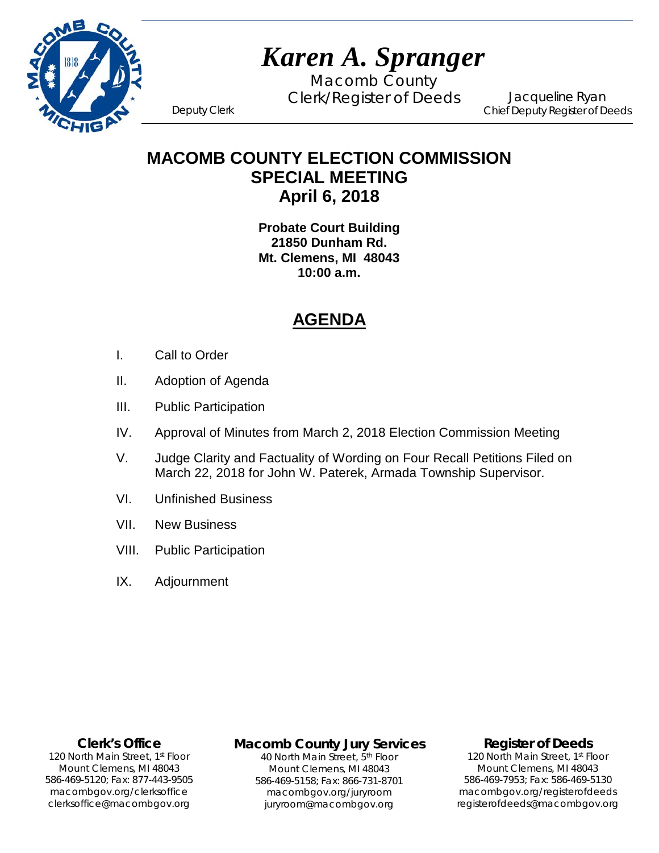

# *Karen A. Spranger*

Macomb County Clerk/Register of Deeds Deputy Clerk

Jacqueline Ryan Chief Deputy Register of Deeds

**MACOMB COUNTY ELECTION COMMISSION SPECIAL MEETING April 6, 2018**

> **Probate Court Building 21850 Dunham Rd. Mt. Clemens, MI 48043 10:00 a.m.**

# **AGENDA**

- I. Call to Order
- II. Adoption of Agenda
- III. Public Participation
- IV. Approval of Minutes from March 2, 2018 Election Commission Meeting
- V. Judge Clarity and Factuality of Wording on Four Recall Petitions Filed on March 22, 2018 for John W. Paterek, Armada Township Supervisor.
- VI. Unfinished Business
- VII. New Business
- VIII. Public Participation
- IX. Adjournment

### **Clerk's Office**

clerksoffice@macombgov.org 120 North Main Street, 1<sup>st</sup> Floor Mount Clemens, MI 48043 586-469-5120; Fax: 877-443-9505 macombgov.org/clerksoffice

# **Macomb County Jury Services**

40 North Main Street, 5th Floor Mount Clemens, MI 48043 586-469-5158; Fax: 866-731-8701 macombgov.org/juryroom juryroom@macombgov.org

### **Register of Deeds**

120 North Main Street, 1<sup>st</sup> Floor Mount Clemens, MI 48043 586-469-7953; Fax: 586-469-5130 macombgov.org/registerofdeeds registerofdeeds@macombgov.org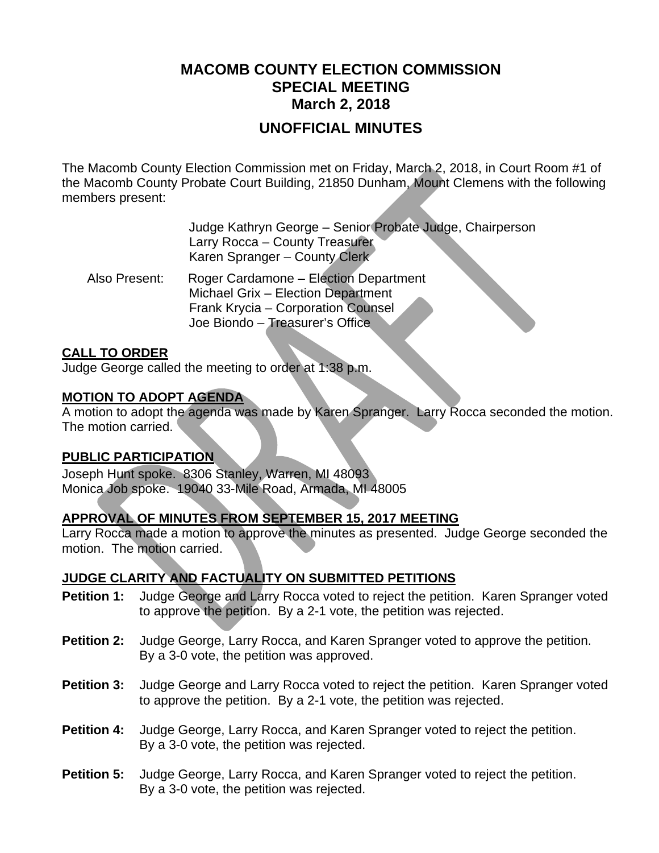# **MACOMB COUNTY ELECTION COMMISSION SPECIAL MEETING March 2, 2018**

## **UNOFFICIAL MINUTES**

The Macomb County Election Commission met on Friday, March 2, 2018, in Court Room #1 of the Macomb County Probate Court Building, 21850 Dunham, Mount Clemens with the following members present:

|               | Judge Kathryn George - Senior Probate Judge, Chairperson<br>Larry Rocca - County Treasurer<br>Karen Spranger - County Clerk                          |
|---------------|------------------------------------------------------------------------------------------------------------------------------------------------------|
| Also Present: | Roger Cardamone - Election Department<br>Michael Grix - Election Department<br>Frank Krycia - Corporation Counsel<br>Joe Biondo - Treasurer's Office |

### **CALL TO ORDER**

Judge George called the meeting to order at 1:38 p.m.

### **MOTION TO ADOPT AGENDA**

A motion to adopt the agenda was made by Karen Spranger. Larry Rocca seconded the motion. The motion carried.

### **PUBLIC PARTICIPATION**

Joseph Hunt spoke. 8306 Stanley, Warren, MI 48093 Monica Job spoke. 19040 33-Mile Road, Armada, MI 48005

### **APPROVAL OF MINUTES FROM SEPTEMBER 15, 2017 MEETING**

Larry Rocca made a motion to approve the minutes as presented. Judge George seconded the motion. The motion carried.

### **JUDGE CLARITY AND FACTUALITY ON SUBMITTED PETITIONS**

- **Petition 1:** Judge George and Larry Rocca voted to reject the petition. Karen Spranger voted to approve the petition. By a 2-1 vote, the petition was rejected.
- **Petition 2:** Judge George, Larry Rocca, and Karen Spranger voted to approve the petition. By a 3-0 vote, the petition was approved.
- **Petition 3:** Judge George and Larry Rocca voted to reject the petition. Karen Spranger voted to approve the petition. By a 2-1 vote, the petition was rejected.
- **Petition 4:** Judge George, Larry Rocca, and Karen Spranger voted to reject the petition. By a 3-0 vote, the petition was rejected.
- **Petition 5:** Judge George, Larry Rocca, and Karen Spranger voted to reject the petition. By a 3-0 vote, the petition was rejected.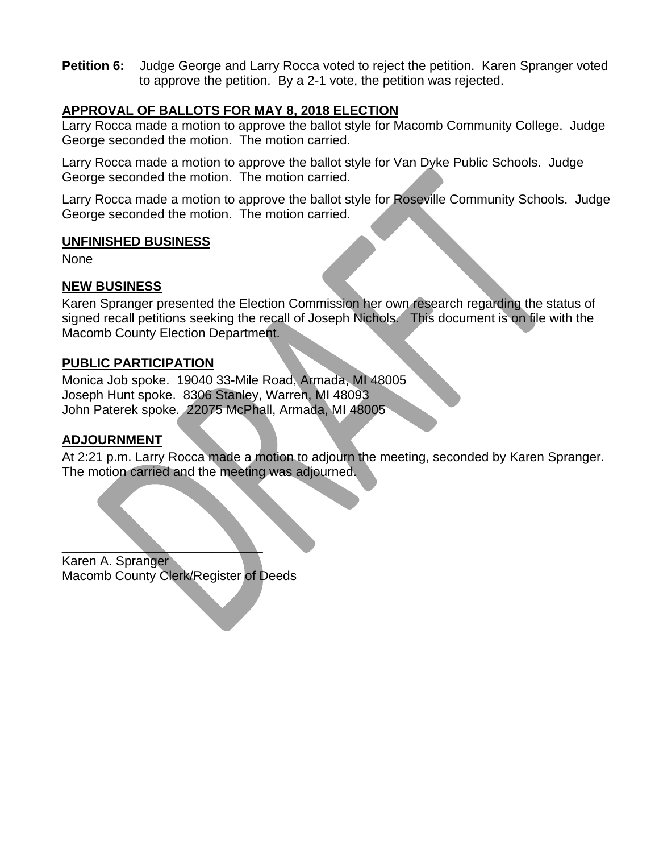**Petition 6:** Judge George and Larry Rocca voted to reject the petition. Karen Spranger voted to approve the petition. By a 2-1 vote, the petition was rejected.

### **APPROVAL OF BALLOTS FOR MAY 8, 2018 ELECTION**

Larry Rocca made a motion to approve the ballot style for Macomb Community College. Judge George seconded the motion. The motion carried.

Larry Rocca made a motion to approve the ballot style for Van Dyke Public Schools. Judge George seconded the motion. The motion carried.

Larry Rocca made a motion to approve the ballot style for Roseville Community Schools. Judge George seconded the motion. The motion carried.

### **UNFINISHED BUSINESS**

None

### **NEW BUSINESS**

Karen Spranger presented the Election Commission her own research regarding the status of signed recall petitions seeking the recall of Joseph Nichols. This document is on file with the Macomb County Election Department.

### **PUBLIC PARTICIPATION**

Monica Job spoke. 19040 33-Mile Road, Armada, MI 48005 Joseph Hunt spoke. 8306 Stanley, Warren, MI 48093 John Paterek spoke. 22075 McPhall, Armada, MI 48005

### **ADJOURNMENT**

At 2:21 p.m. Larry Rocca made a motion to adjourn the meeting, seconded by Karen Spranger. The motion carried and the meeting was adjourned.

 $\qquad \qquad \blacksquare$ Karen A. Spranger Macomb County Clerk/Register of Deeds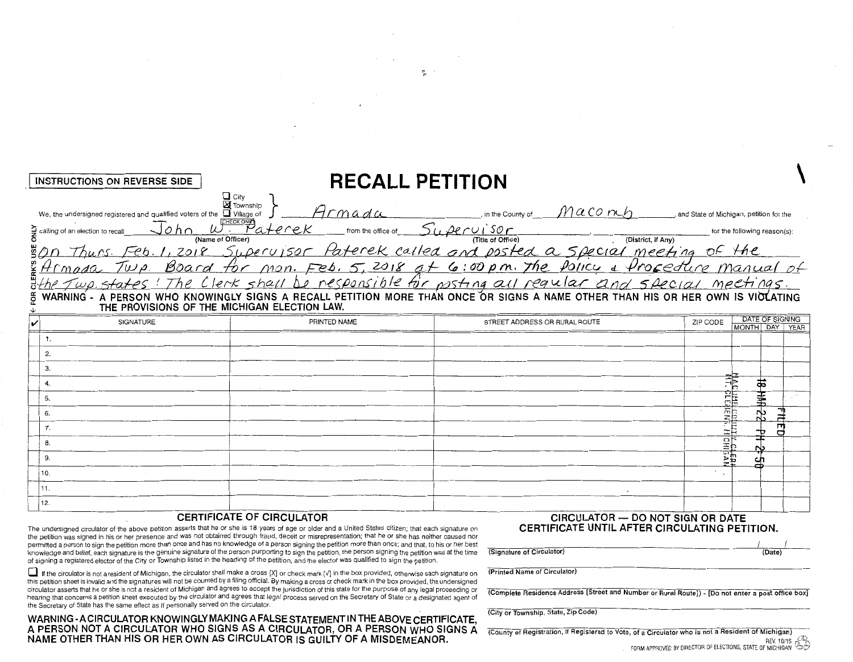| INSTRUCTIONS ON REVERSE SIDE                                                                                      | <b>RECALL PETITION</b>                                                   |                                   |                    |                                         |
|-------------------------------------------------------------------------------------------------------------------|--------------------------------------------------------------------------|-----------------------------------|--------------------|-----------------------------------------|
| $\Box$ City<br>$\boxtimes$ Township<br>□ Village of<br>We, the undersigned registered and qualified voters of the |                                                                          | in the County of                  | Maconch            | and State of Michigan, petition for the |
| CHECK ONE 1<br>$\sum$ calling of an election to recall<br>(Name of Officer)                                       | 'aterek<br>from the office of                                            | $r$ $Oi$ sor<br>(Title of Office) | (District, if Any) | for the following reason(s):            |
| รี $\rho$                                                                                                         | Supervisor Paterek called and posted a special meeting                   |                                   |                    | OF the                                  |
| $\frac{3}{4}Hmada$<br>$T_{U}$<br>Board                                                                            | for mon. Feb. 5, 2018 at 6:00 pm. The Policy & Procedure manual of       |                                   |                    |                                         |
| Thel<br>J<br>$w\rho$ , states $\theta$                                                                            | Clerk shall be responsible for posting all reqular and special meetings. |                                   |                    |                                         |

WARNING - A PERSON WHO KNOWINGLY SIGNS A RECALL PETITION MORE THAN ONCE OR SIGNS A NAME OTHER THAN HIS OR HER OWN IS VIOLATING ã

|      | PRINTED NAME | STREET ADDRESS OR RURAL ROUTE |                                                     |    |   |
|------|--------------|-------------------------------|-----------------------------------------------------|----|---|
|      |              |                               | ZIP CODE <b>DATE OF SIGNING</b><br>MONTH DAY   YEAR |    |   |
|      |              |                               |                                                     |    |   |
|      |              |                               |                                                     |    |   |
|      |              |                               |                                                     |    |   |
|      |              |                               |                                                     |    |   |
|      |              |                               |                                                     |    |   |
| 6.   |              |                               |                                                     |    |   |
|      |              |                               |                                                     |    |   |
|      |              |                               |                                                     |    |   |
|      |              |                               |                                                     |    |   |
| 10.  |              |                               |                                                     |    |   |
| [11. |              |                               |                                                     |    |   |
| 12.  |              |                               |                                                     |    |   |
|      |              |                               |                                                     | mb | œ |

#### **CERTIFICATE OF CIRCULATOR**

The undersigned circulator of the above petition asserts that he or she is 18 years of age or older and a United States citizen; that each signature on the petition was signed in his or her presence and was not obtained through fraud, deceit or misrepresentation; that he or she has neither caused nor permitted a person to sign the petition more than once and has no knowledge of a person signing the petition more than once; and that, to his or her best knowledge and belief, each signature is the genuine signature of the person purporting to sign the petition, the person signing the petition was at the time of signing a registered elector of the City or Township listed in the heading of the petition, and the elector was qualified to sign the petition.

If the circulator is not a resident of Michigan, the circulator shall make a cross [X] or check mark [V] in the box provided, otherwise each signature on this petition sheet is invalid and the signatures will not be counted by a filing official. By making a cross or check mark in the box provided, the undersigned circulator asserts that he or she is not a resident of Michigan and agrees to accept the jurisdiction of this state for the purpose of any legal proceeding or hearing that concerns a petition sheet executed by the circulator and agrees that legal process served on the Secretary of State or a designated agent of the Secretary of State has the same effect as if personally served on the circulator.

CIRCULATOR - DO NOT SIGN OR DATE CERTIFICATE UNTIL AFTER CIRCULATING PETITION.

(Date)

(Printed Name of Circulator)

(Signature of Circulator)

(Complete Residence Address [Street and Number or Rural Route]) - [Do not enter a post office box]

(City or Township, State, Zip Code)

(County of Registration, if Registered to Vote, of a Circulator who is not a Resident of Michigan) REV. 10/15 FORM APPROVED BY DIRECTOR OF ELECTIONS, STATE OF MICHIGAN

WARNING-ACIRCULATOR KNOWINGLY MAKING A FALSE STATEMENT IN THE ABOVE CERTIFICATE,<br>A PERSON NOT A CIRCULATOR WHO SIGNS AS A CIRCULATOR, OR A PERSON WHO SIGNS A<br>NAME OTHER THAN HIS OR HER OWN AS CIRCULATOR IS GUILTY OF A MISD

恕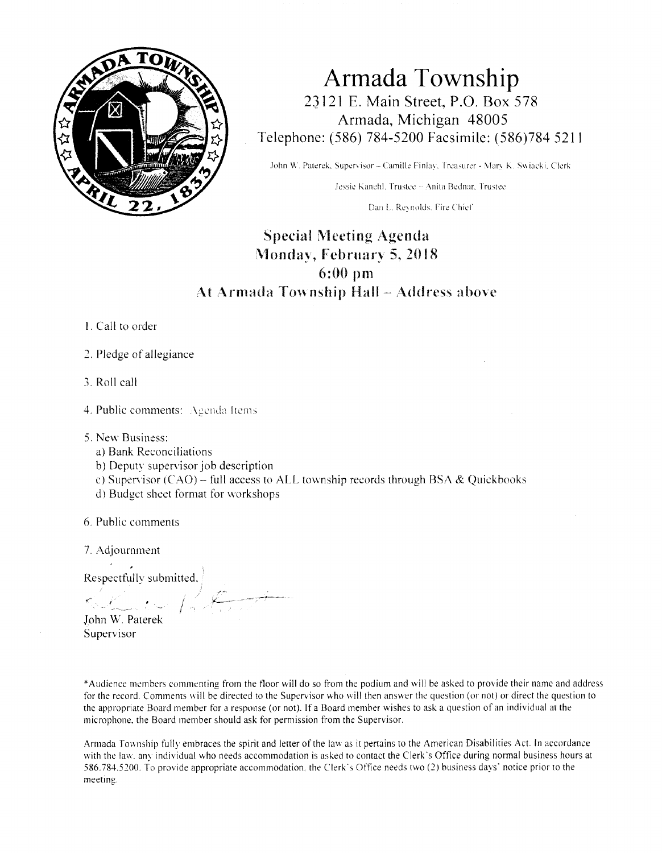

**Armada Township**  23121 E. Main Street, P.O. Box 578 Armada, Michigan 48005 Telephone: (586) 784-5200 Facsimile: ( 586 )784 52 I I

John W. Paterek, Supervisor - Camille Finlay, Treasurer - Mary K. Swiacki, Clerk

Jessie Kanehl. Trustee -- Anita Bednar. Trustee

Dan L. Reynolds. Fire Chief

# Special Meeting Agenda Monday, February 5. 2018 6:00 pm At Armada Township Hall - Address above

- 1. Call to order
- 2. Pledge of allegiance
- 3. Roll call
- 4. Public comments: Agenda Items
- 5. New Business:
	- a) Bank Reconciliations
	- b) Deputy supervisor job description
	- c) Supervisor (CAO) full access to ALL township records through BSA & Quickbooks
	- d) Budget sheet format for workshops

 $\int$ 

- 6. Public comments
- 7. Adjournment

Respectfully submitted.

John W. Paterek Supervisor

\*Audience members commenting from the floor will do so from the podium and will be asked to provide their name and address for the record. Comments will be directed to the Supervisor who will then answer the question (or not) or direct the question to the appropriate Board member for a response (or not). If a Board member wishes to ask a question of an individual at the microphone. the Board member should ask for permission from the Supervisor.

Armada Township fully embraces the spirit and letter of the law as it pertains to the American Disabilities Act. In accordance with the law, any individual who needs accommodation is asked to contact the Clerk's Office during normal business hours at 586.784.5200. To provide appropriate accommodation. the Clerk's Office needs two (2) business days· notice prior to the meeting.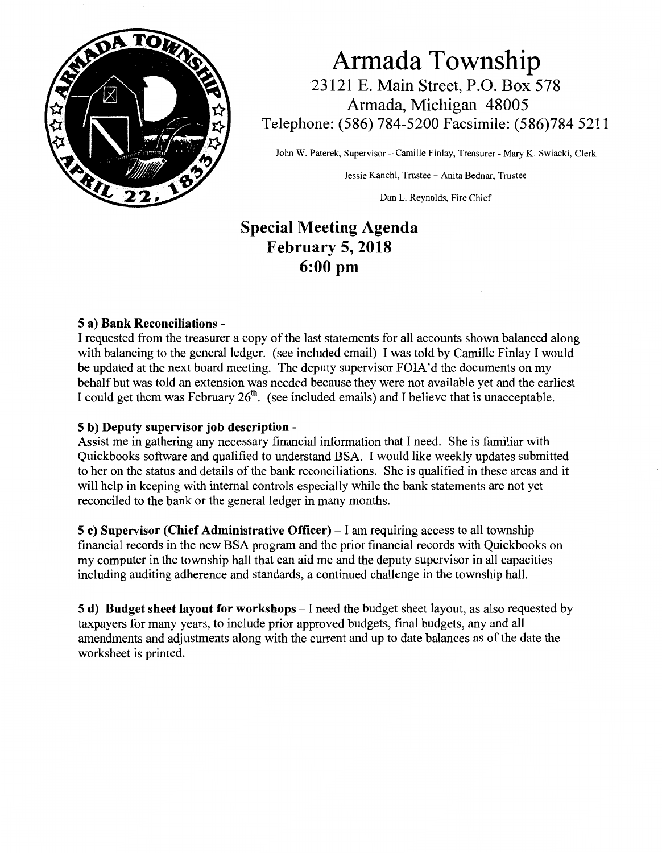

Armada Township 23121 E. Main Street, P.O. Box 578 Armada, Michigan 48005 Telephone: (586) 784-5200 Facsimile: (586)784 5211

John W. Paterek, Supervisor - Camille Finlay, Treasurer - Mary K. Swiacki, Clerk

Jessie Kanehl, Trustee - Anita Bednar, Trustee

Dan L. Reynolds, Fire Chief

# Special Meeting Agenda February 5, 2018 6:00 pm

#### 5 a) Bank Reconciliations -

I requested from the treasurer a copy of the last statements for all accounts shown balanced along with balancing to the general ledger. (see included email) I was told by Camille Finlay I would be updated at the next board meeting. The deputy supervisor FOIA'd the documents on my behalf but was told an extension was needed because they were not available yet and the earliest I could get them was February 26th. (see included emails) and I believe that is unacceptable.

#### 5 b) Deputy supervisor job description -

Assist me in gathering any necessary financial information that I need. She is familiar with Quickbooks software and qualified to understand BSA. I would like weekly updates submitted to her on the status and details of the bank reconciliations. She is qualified in these areas and it will help in keeping with internal controls especially while the bank statements are not yet reconciled to the bank or the general ledger in many months.

5 c) Supervisor (Chief Administrative Officer) – I am requiring access to all township financial records in the new BSA program and the prior financial records with Quickbooks on my computer in the township hall that can aid me and the deputy supervisor in all capacities including auditing adherence and standards, a continued challenge in the township hall.

5 d) Budget sheet layout for workshops  $-I$  need the budget sheet layout, as also requested by taxpayers for many years, to include prior approved budgets, final budgets, any and all amendments and adjustments along with the current and up to date balances as of the date the worksheet is printed.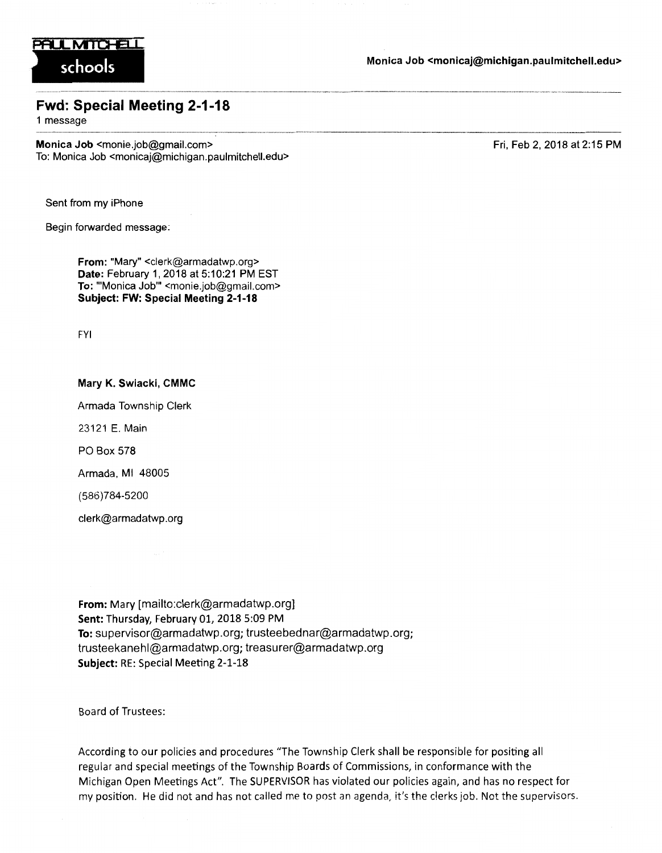

schools Monica Job <monicaj@michigan.paulmitchell.edu> .-,---------·----·-···----·------- ----

### Fwd: Special Meeting 2-1-18

1 message

Monica Job <monie.job@gmail.com> To: Monica Job <monicaj@michigan.paulmitchell.edu> Fri, Feb 2, 2018 at 2:15 PM

Sent from my iPhone

Begin forwarded message:

From: "Mary" <clerk@armadatwp.org> Date: February 1, 2018 at 5:10:21 PM EST To: "'Monica Job"' <monie.job@gmail.com> Subject: FW: Special Meeting 2-1-18

FYI

Mary K. Swiacki, CMMC Armada Township Clerk 23121 E. Main PO Box 578

Armada, Ml 48005

(586)784-5200

clerk@armadatwp.org

From: Mary [mailto:clerk@armadatwp.org] Sent: Thursday, February 01, 2018 5:09 PM To: supervisor@armadatwp.org; trusteebednar@armadatwp.org; trusteekanehl@armadatwp.org; treasurer@armadatwp.org Subject: RE: Special Meeting 2-1-18

Board of Trustees:

According to our policies and procedures "The Township Clerk shall be responsible for positing all regular and special meetings of the Township Boards of Commissions, in conformance with the Michigan Open Meetings Act". The SUPERVISOR has violated our policies again, and has no respect for my position. He did not and has not called me to post an agenda, it's the c!erks job. Not the supervisors.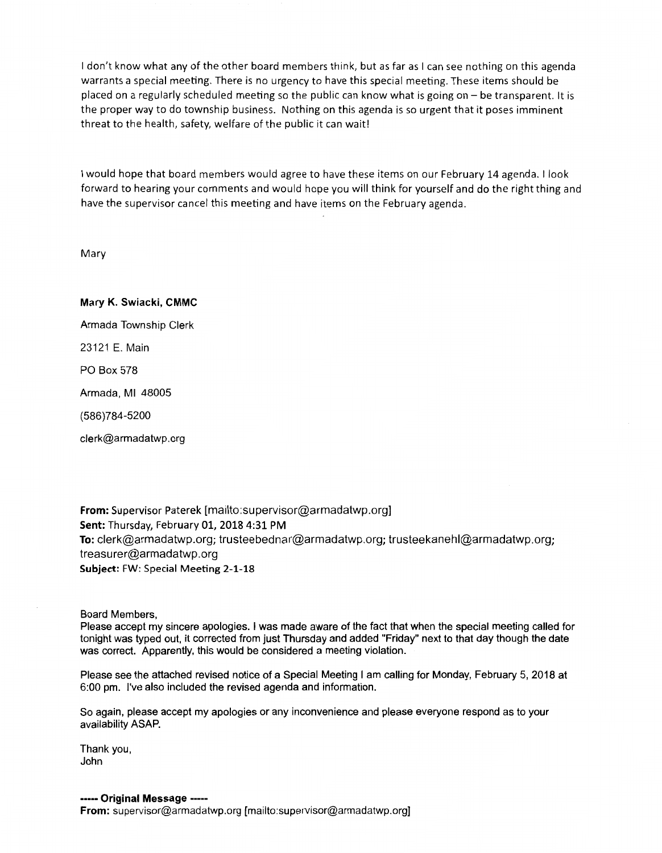I don't know what any of the other board members think, but as far as I can see nothing on this agenda warrants a special meeting. There is no urgency to have this special meeting. These items should be placed on a regularly scheduled meeting so the public can know what is going on - be transparent. It is the proper way to do township business. Nothing on this agenda is so urgent that it poses imminent threat to the health, safety, welfare of the public it can wait!

I would hope that board members would agree to have these items on our February 14 agenda. I look forward to hearing your comments and would hope you will think for yourself and do the right thing and have the supervisor cancel this meeting and have items on the February agenda.

Mary

Mary K. Swiacki, CMMC Armada Township Clerk 23121 E. Main PO Box 578 Armada, Ml 48005 (586)784-5200 clerk@armadatwp.org

From: Supervisor Paterek [mailto:supervisor@armadatwp.org] Sent: Thursday, February 01, 2018 4:31 PM To: clerk@armadatwp.org; trusteebednar@armadatwp.org; trusteekanehl@armadatwp.org; treasurer@armadatwp.org Subject: FW: Special Meeting 2-1-18

Board Members,

Please accept my sincere apologies. I was made aware of the fact that when the special meeting called for tonight was typed out, it corrected from just Thursday and added "Friday" next to that day though the date was correct. Apparently, this would be considered a meeting violation.

Please see the attached revised notice of a Special Meeting I am calling for Monday, February 5, 2018 at 6:00 pm. I've also included the revised agenda and information.

So again, please accept my apologies or any inconvenience and please everyone respond as to your availability ASAP.

Thank you, John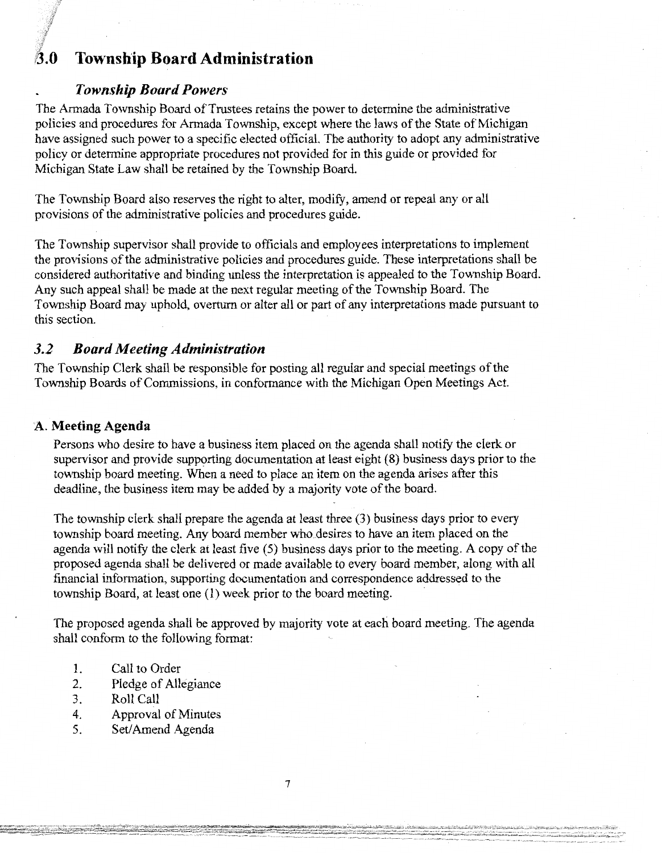# **B.O Township Board Administration**

### *Township Board Powers*

The Armada Township Board of Trustees retains the power to determine the administrative policies and procedures for Armada Township, except where the laws of the State of Michigan have assigned such power to a specific elected official. The authority to adopt any administrative policy or determine appropriate procedures not provided for in this guide or provided for Michigan State Law shall be retained by the Township Board.

The Township Board also reserves the right to alter, modify, amend or repeal any or all provisions of the administrative policies and procedures guide.

The Township supervisor shall provide to officials and employees interpretations to implement the provisions of the administrative policies and procedures guide. These interpretations shall be considered authoritative and binding unless the interpretation is appealed to the Township Board. Any such appeal shall be made at the next regular meeting of the Township Board. The Township Board may uphold, overturn or alter all or part of any interpretations made pursuant to this section.

### *3.2 Board Meeting Administration*

The Township Clerk shall be responsible for posting all regular and special meetings of the Township Boards of Commissions, in conformance with the Michigan Open Meetings Act.

### **A. Meeting Agenda**

Persons who desire to have a business item placed on the agenda shall notify the clerk or supervisor and provide supporting documentation at least eight  $(8)$  business days prior to the township board meeting. When a need to place an item on the agenda arises after this deadline, the business item may be added by a majority vote of the board.

The township clerk shall prepare the agenda at least three (3) business days prior to every township board meeting. Any board member who.desires to have an item placed on the agenda will notify the clerk at least five (5) business days prior to the meeting. A copy of the proposed agenda shall be delivered or made available to every board member, along with all financial information, supporting documentation and correspondence addressed to the township Board, at least one (1) week prior to the board meeting.

The proposed agenda shall be approved by majority vote at each board meeting. The agenda shall conform to the following format:

- 1. Call to Order
- 2. Pledge of Allegiance
- 3. Roll Call
- 4. Approval of Minutes
- 5. Set/ Amend Agenda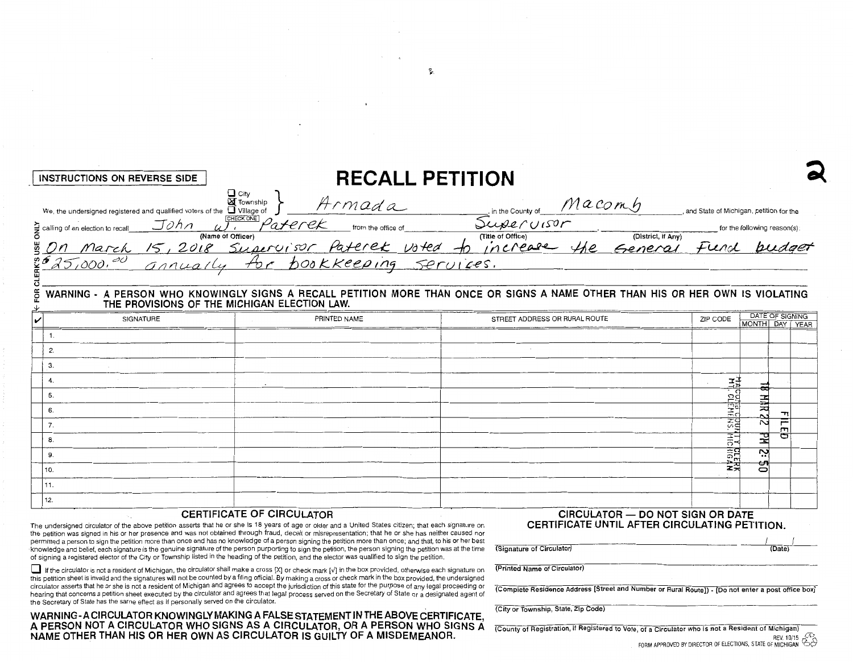| INSTRUCTIONS ON REVERSE SIDE                                                 |                                               |                               |           | <b>RECALL PETITION</b>          |                    |                                         |                              |
|------------------------------------------------------------------------------|-----------------------------------------------|-------------------------------|-----------|---------------------------------|--------------------|-----------------------------------------|------------------------------|
| We, the undersigned registered and qualified voters of the $\Box$ Village of | $\Box$ City<br><b>X</b> Township<br>CHECK ONE | -rmada                        |           | in the County of                | Macomh             | and State of Michigan, petition for the |                              |
| John<br>calling of an election to recall                                     | (Name of Officer)                             | 'aferek<br>from the office of |           | Supervisor<br>(Title of Office) | (District, if Any) |                                         | for the following reason(s): |
| 30n<br>March                                                                 | Supervisor                                    | Paterek voted                 |           | increase                        | Senera             | fierd                                   | budget                       |
| 25,000,00                                                                    | annually                                      | bookkeeping                   | Services. |                                 |                    |                                         |                              |
|                                                                              |                                               |                               |           |                                 |                    |                                         |                              |

#### WARNING - A PERSON WHO KNOWINGLY SIGNS A RECALL PETITION MORE THAN ONCE OR SIGNS A NAME OTHER THAN HIS OR HER OWN IS VIOLATING ã

| SIGNATURE | PRINTED NAME | STREET ADDRESS OR RURAL ROUTE |                            |         | DATE OF SIGNING<br>MONTH DAY YEAR |  |
|-----------|--------------|-------------------------------|----------------------------|---------|-----------------------------------|--|
|           |              |                               | ZIP CODE                   |         |                                   |  |
|           |              |                               |                            |         |                                   |  |
|           |              |                               |                            |         |                                   |  |
| з.        |              |                               |                            |         |                                   |  |
|           | $\sim$       |                               |                            |         |                                   |  |
|           |              |                               |                            |         |                                   |  |
|           |              |                               | CLEHE<br>CLEHE             | 屶<br>N, |                                   |  |
|           |              |                               | $\frac{1}{25}$             | N       |                                   |  |
|           |              |                               | <b>HECHOAR</b><br>HICHIGAN | 긪       | o                                 |  |
|           |              |                               |                            | Š.      |                                   |  |
| l 10.     |              |                               |                            | ఱ<br>0  |                                   |  |
| 111.      |              |                               |                            |         |                                   |  |
| 12.       |              |                               |                            |         |                                   |  |

#### **CERTIFICATE OF CIRCULATOR**

The undersigned circulator of the above petition asserts that he or she is 18 years of age or older and a United States citizen; that each signature on the petition was signed in his or her presence and was not obtained through fraud, deceit or misrepresentation; that he or she has neither caused nor permitted a person to sign the petition more than once and has no knowledge of a person signing the petition more than once; and that, to his or her best knowledge and belief, each signature is the genuine signature of the person purporting to sign the petition, the person signing the petition was at the time of signing a registered elector of the City or Township listed in the heading of the petition, and the elector was qualified to sign the petition.

If the circulator is not a resident of Michigan, the circulator shall make a cross [X] or check mark [v] in the box provided, otherwise each signature on this petition sheet is invalid and the signatures will not be counted by a filing official. By making a cross or check mark in the box provided, the undersigned circulator asserts that he or she is not a resident of Michigan and agrees to accept the jurisdiction of this state for the purpose of any legal proceeding or hearing that concerns a petition sheet executed by the circulator and agrees that legal process served on the Secretary of State or a designated agent of the Secretary of State has the same effect as if personally served on the circulator.

WARNING - A CIRCULATOR KNOWINGLY MAKING A FALSE STATEMENT IN THE ABOVE CERTIFICATE, A PERSON NOT A CIRCULATOR WHO SIGNS AS A CIRCULATOR, OR A PERSON WHO SIGNS A NAME OTHER THAN HIS OR HER OWN AS CIRCULATOR IS GUILTY OF A MISDEMEANOR.

#### CIRCULATOR - DO NOT SIGN OR DATE CERTIFICATE UNTIL AFTER CIRCULATING PETITION

| (Signature of Circulator) | (Date) |  |
|---------------------------|--------|--|

(Printed Name of Circulator)

(Complete Residence Address [Street and Number or Rural Route]) - [Do not enter a post office box]

(City or Township, State, Zip Code)

(County of Registration, if Registered to Vote, of a Circulator who is not a Resident of Michigan) FORM APPROVED BY DIRECTOR OF ELECTIONS, STATE OF MICHIGAN  $\hat{\mathfrak{S}}$ 

ı.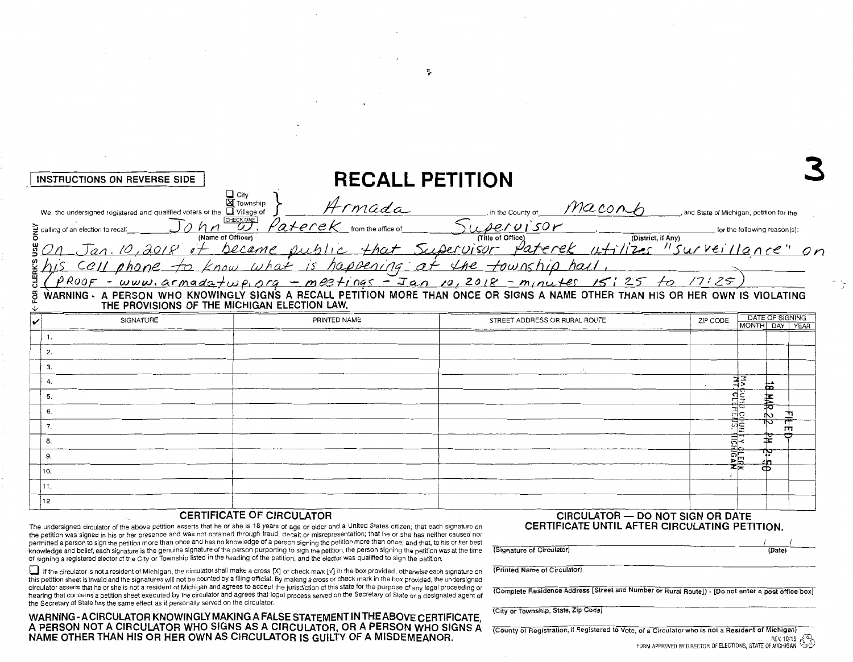| INSTRUCTIONS ON REVERSE SIDE                                                                                                                                                                                                                                                                                                                                                                                   |                                                                                                                                                                                                                                         | <b>RECALL PETITION</b>                                    |                    |                                                                         |
|----------------------------------------------------------------------------------------------------------------------------------------------------------------------------------------------------------------------------------------------------------------------------------------------------------------------------------------------------------------------------------------------------------------|-----------------------------------------------------------------------------------------------------------------------------------------------------------------------------------------------------------------------------------------|-----------------------------------------------------------|--------------------|-------------------------------------------------------------------------|
| We, the undersigned registered and qualified voters of the $\Box$ Village of<br>g calling of an election to recall<br>(Name of Officer)<br>$PROOF$ - www.armadatwp.org - meetings - Jan 10, 2018 - minutes 15:25 to 17:25)<br>& WARNING - A PERSON WHO KNOWINGLY SIGNS A RECALL PETITION MORE THAN ONCE OR SIGNS A NAME OTHER THAN HIS OR HER OWN IS VIOLATING<br>THE PROVISIONS OF THE MICHIGAN ELECTION LAW. | $\Box$ City<br><b>X</b> Township<br>Armada<br>CHECK ONE<br>Paterek trom the office of<br>Jan. 10, 2018 it became public that Supervisor Paterek utilizes "surveillance" or<br>cell phone to know what is happening at the township hall | in the County of Maconh<br>upervisor<br>(Title of Office) | (District, if Any) | and State of Michigan, petition for the<br>for the following reason(s): |
| SIGNATURE                                                                                                                                                                                                                                                                                                                                                                                                      | PRINTED NAME                                                                                                                                                                                                                            | STREET ADDRESS OR RURAL ROUTE                             |                    | DATE OF SIGNING<br>ZIP CODE<br>MONTH DAY<br>YEAR                        |
|                                                                                                                                                                                                                                                                                                                                                                                                                |                                                                                                                                                                                                                                         |                                                           |                    |                                                                         |
|                                                                                                                                                                                                                                                                                                                                                                                                                |                                                                                                                                                                                                                                         |                                                           |                    |                                                                         |

巳

| ___ | ________ |                  |      |       |                       |                                                                                                                                                                                                                                                  |  |
|-----|----------|------------------|------|-------|-----------------------|--------------------------------------------------------------------------------------------------------------------------------------------------------------------------------------------------------------------------------------------------|--|
|     |          |                  | ____ | ----- |                       |                                                                                                                                                                                                                                                  |  |
|     | ___      | ______           |      |       | $\cdot$<br>±ಕ         |                                                                                                                                                                                                                                                  |  |
|     |          |                  |      |       |                       |                                                                                                                                                                                                                                                  |  |
|     |          |                  |      |       | ਜ਼ੋੜ<br>$\rightarrow$ |                                                                                                                                                                                                                                                  |  |
|     | _____    |                  |      |       |                       | <b><i><u>A COMPANY AND A COMPANY OF STREET WAS ARRESTED FOR ANY OF STREET WAS ARRESTED FOR ANY OF STREET WAS ARRESTED FOR ANY OF STREET WAS ARRESTED FOR ANY OF STREET WAS ARRESTED FOR ANY OF STREET WAS ARRESTED FOR ANY OF STREET</u></i></b> |  |
|     |          |                  |      |       | <b>HIGAN</b>          |                                                                                                                                                                                                                                                  |  |
|     |          | the state of the |      |       | ______                |                                                                                                                                                                                                                                                  |  |
|     | .        |                  |      |       |                       |                                                                                                                                                                                                                                                  |  |
|     | מי       |                  |      |       |                       |                                                                                                                                                                                                                                                  |  |
|     |          |                  |      |       |                       |                                                                                                                                                                                                                                                  |  |

#### CERTIFICATE OF CIRCULATOR

The undersigned circulator of the above petition asserts that he or she is 18 years of age or older and a United States citizen; that each signature on the petition was signed in his or her presence and was not obtained through fraud, deceit or misrepresentation; that he or she has neither caused nor permitted a person to sign the petition more than once and has no knowledge of a person signing the petition more than once; and that, to his or her best knowledge and belief, each signature is the genuine signature of the person purporting to sign the petition, the person signing the petition was at the time of signing a registered elector of the City or Township listed in the heading of the petition, and the elector was qualified to sign the petition.

If the circulator is not a resident of Michigan, the circulator shall make a cross [X] or check mark [V] in the box provided, otherwise each signature on this petition sheet is invalid and the signatures will not be counted by a filing official. By making a cross or check mark in the box provided, the undersigned circulator asserts that he or she is not a resident of Michigan and agrees to accept the jurisdiction of this state for the purpose of any legal proceeding or hearing that concerns a petition sheet executed by the circulator and agrees that legal process served on the Secretary of State or a designated agent of the Secretary of State has the same effect as if personally served on the circulator.

WARNING - A CIRCULATOR KNOWINGLY MAKING A FALSE STATEMENT IN THE ABOVE CERTIFICATE, A PERSON NOT A CIRCULATOR WHO SIGNS AS A CIRCULATOR, OR A PERSON WHO SIGNS A NAME OTHER THAN HIS OR HER OWN AS CIRCULATOR IS GUILTY OF A MISDEMEANOR.

#### **CIRCULATOR - DO NOT SIGN OR DATE** CERTIFICATE UNTIL AFTER CIRCULATING PETITION.

| (Signature of Circulator) | (Date) |  |
|---------------------------|--------|--|

(Printed Name of Circulator)

(Complete Residence Address [Street and Number or Rural Route]) - [Do not enter a post office box]

(City or Township, State, Zip Code)

(County of Registration, if Registered to Vote, of a Circulator who is not a Resident of Michigan) REV. 10/15  $\sim 2$ , स्ट FORM APPROVED BY DIRECTOR OF ELECTIONS, STATE OF MICHIGAN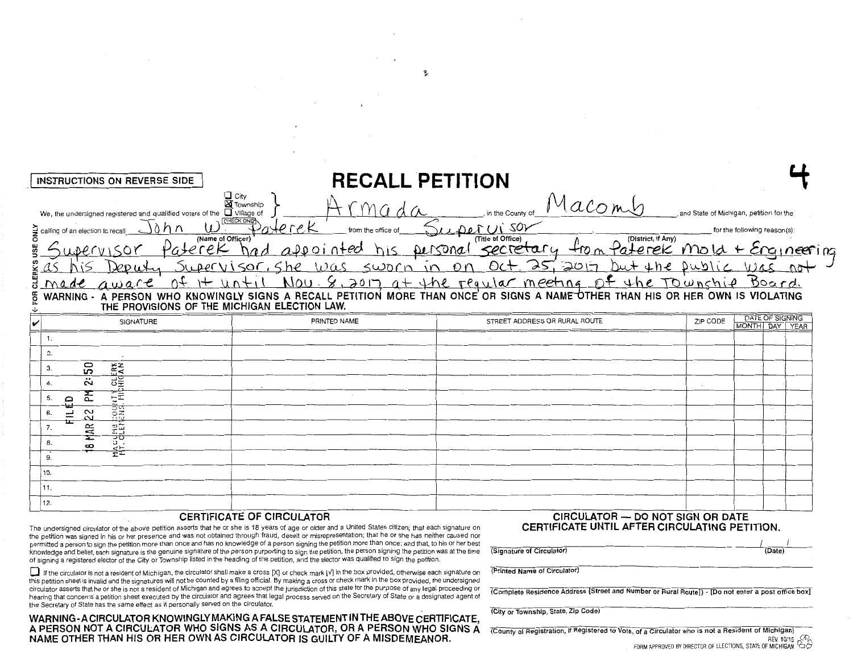| $\Box$ Village of<br>CHECK ONE               | n the County of                          |                                                                                                   |                                                                                                                                                                                                                                                                                                                                                   |
|----------------------------------------------|------------------------------------------|---------------------------------------------------------------------------------------------------|---------------------------------------------------------------------------------------------------------------------------------------------------------------------------------------------------------------------------------------------------------------------------------------------------------------------------------------------------|
| from the office of<br>(Name of Officer)      | (District, if Any)<br>(Title of Office)  |                                                                                                   |                                                                                                                                                                                                                                                                                                                                                   |
| SWARTVISOF, She<br>120C                      | $0$ ct, 25, 2017                         |                                                                                                   |                                                                                                                                                                                                                                                                                                                                                   |
| THE PROVISIONS OF THE MICHIGAN ELECTION LAW. |                                          |                                                                                                   |                                                                                                                                                                                                                                                                                                                                                   |
| PRINTED NAME                                 | STREET ADDRESS OR RURAL ROUTE            | ZIP CODE                                                                                          | DATE OF SIGNING<br>MONTH DAY YEAR                                                                                                                                                                                                                                                                                                                 |
|                                              |                                          |                                                                                                   |                                                                                                                                                                                                                                                                                                                                                   |
|                                              |                                          |                                                                                                   |                                                                                                                                                                                                                                                                                                                                                   |
|                                              |                                          |                                                                                                   |                                                                                                                                                                                                                                                                                                                                                   |
|                                              |                                          |                                                                                                   |                                                                                                                                                                                                                                                                                                                                                   |
|                                              |                                          |                                                                                                   |                                                                                                                                                                                                                                                                                                                                                   |
|                                              |                                          |                                                                                                   |                                                                                                                                                                                                                                                                                                                                                   |
|                                              |                                          |                                                                                                   |                                                                                                                                                                                                                                                                                                                                                   |
|                                              |                                          |                                                                                                   |                                                                                                                                                                                                                                                                                                                                                   |
|                                              |                                          |                                                                                                   |                                                                                                                                                                                                                                                                                                                                                   |
|                                              |                                          |                                                                                                   |                                                                                                                                                                                                                                                                                                                                                   |
|                                              |                                          |                                                                                                   |                                                                                                                                                                                                                                                                                                                                                   |
|                                              | □ City<br>■ Township<br>aterek<br>aterek | <b>RECALL PETITION</b><br>Macomb<br>- 20)<br>from Paterek<br>secretary<br>Densonal<br>SWOLN IN ON | and State of Michigan, petition for the<br>for the following reason(s):<br>mold + Engineering<br>but the public was not<br>Nou. 8, 2017 at the requier meeting of the Township Board.<br>A PERSON WHO KNOWINGLY SIGNS A RECALL PETITION MORE THAN ONCE OR SIGNS A NAME OTHER THAN HIS OR HER OWN IS VIOLATING<br>CIRCULATOR - DO NOT SIGN OR DATE |

#### CERTIFICATE OF CIRCULATOR

The undersigned circulator of the above petition asserts that he or she is 18 years of age or older and a United States citizen; that each signature on the petition was signed in his or her presence and was not obtained through fraud, deceit or misrepresentation; that he or she has neither caused nor permitted a person to sign the petition more than once and has no knowledge of a person signing the petition more than once; and that, to his or her best knowledge and belief, each signature is the genuine signature of the person purporting to sign the petition, the person signing the petition was at the time of signing a registered elector of the City or Township listed in the heading of the petition, and the elector was qualified to sign the petition.

If the circulator is not a resident of Michigan, the circulator shall make a cross [X] or check mark [v] in the box provided, otherwise each signature on this petition sheet is invalid and the signatures will not be counted by a filing official. By making a cross or check mark in the box provided, the undersigned circulator asserts that he or she is not a resident of Michigan and agrees to accept the jurisdiction of this state for the purpose of any legal proceeding or hearing that concerns a petition sheet executed by the circulator and agrees that legal process served on the Secretary of State or a designated agent of the Secretary of State has the same effect as if personally served on the circulator.

WARNING-ACIRCULATOR KNOWINGLY MAKING A FALSE STATEMENT IN THE ABOVE CERTIFICATE,<br>A PERSON NOT A CIRCULATOR WHO SIGNS AS A CIRCULATOR, OR A PERSON WHO SIGNS A<br>NAME OTHER THAN HIS OR HER OWN AS CIRCULATOR IS GUILTY OF A MISD

# CERTIFICATE UNTIL AFTER CIRCULATING PETITION.

| (Signature of Circulator) | (Date) |  |
|---------------------------|--------|--|
|                           |        |  |

(Printed Name of Circulator)

(Complete Residence Address [Street and Number or Rural Route]) - [Do not enter a post office box]

(City or Township, State, Zip Code)

(County of Registration, if Registered to Vote, of a Circulator who is not a Resident of Michigan) REV. 10/15 FORM APPROVED BY DIRECTOR OF ELECTIONS, STATE OF MICHIGAN

 $\tau$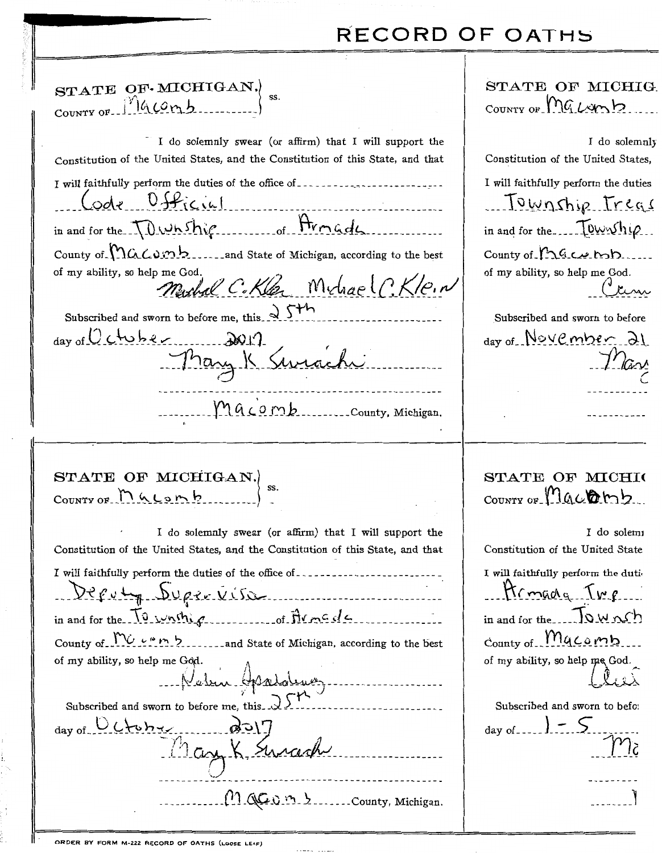# **RECORD OF OATHS**

| STATE OF MICHIGAN.                                                                                                                                                                                                                                                                                                                                                                                                                                                                                                                                               | STATE OF MICHIG.<br>$_{\text{COUNTY OF}}$ $\mathcal{M}_{\text{G}}$ $\mathcal{L}_{\text{C}}$                                                                                                                                                                                   |
|------------------------------------------------------------------------------------------------------------------------------------------------------------------------------------------------------------------------------------------------------------------------------------------------------------------------------------------------------------------------------------------------------------------------------------------------------------------------------------------------------------------------------------------------------------------|-------------------------------------------------------------------------------------------------------------------------------------------------------------------------------------------------------------------------------------------------------------------------------|
| I do solemnly swear (or affirm) that I will support the<br>Constitution of the United States, and the Constitution of this State, and that<br>I will faithfully perform the duties of the office of __________________________<br>Code Official<br>in and for the TDWhship of Armade<br>County of Maconne 2.1 and State of Michigan, according to the best<br>of my ability, so help me God.<br>Muchal C.Kler Michael C.Kle.N<br>Subscribed and sworn to before me, this $\sqrt{5}$<br>$_{\text{day of}} 0$ chube<br>Tray K Swiachi<br>Macomb. County, Michigan. | I do solemnly<br>Constitution of the United States,<br>I will faithfully perform the duties<br>Jownship Treas<br>in and for the $\frac{10}{2}$<br>County of $n_{4}$ exp<br>of my ability, so help me God.<br>Subscribed and sworn to before<br>$_{\text{day of}}$ November 21 |
|                                                                                                                                                                                                                                                                                                                                                                                                                                                                                                                                                                  |                                                                                                                                                                                                                                                                               |

STATE OF MICHIO COUNTY OF Macon

| COUNTY OF $M$ $\left\{$ on $h$                                                  |                                                         |  |
|---------------------------------------------------------------------------------|---------------------------------------------------------|--|
|                                                                                 | I do solemnly swear (or affirm) that I will support the |  |
| Constitution of the United Ctotes, and the Constitution of this Ctote, and that |                                                         |  |

STATE OF MICHIGAN.)

| Constitution of the United States, and the Constitution of this State, and that                                                                                                                                                                                                                                                              |
|----------------------------------------------------------------------------------------------------------------------------------------------------------------------------------------------------------------------------------------------------------------------------------------------------------------------------------------------|
| I will faithfully perform the duties of the office of __________________________                                                                                                                                                                                                                                                             |
| Deputy Supremisse                                                                                                                                                                                                                                                                                                                            |
| in and for the $\overline{10}$ writing                                                                                                                                                                                                                                                                                                       |
| County of $\mathcal{W}_{\mathcal{U}}$ $\cdots$ $\mathcal{V}_{\mathcal{U}}$ and State of Michigan, according to the best                                                                                                                                                                                                                      |
| of my ability, so help me Gôd.                                                                                                                                                                                                                                                                                                               |
| Neben Assolutez                                                                                                                                                                                                                                                                                                                              |
| Subscribed and sworn to before me, this $\sqrt{5}$                                                                                                                                                                                                                                                                                           |
|                                                                                                                                                                                                                                                                                                                                              |
| day of Octobres 2017                                                                                                                                                                                                                                                                                                                         |
|                                                                                                                                                                                                                                                                                                                                              |
| $\ldots$ $\ldots$ $\ldots$ $\ldots$ $\ldots$ $\ldots$ $\ldots$ $\ldots$ $\ldots$ $\ldots$ $\ldots$ $\ldots$ $\ldots$ $\ldots$ $\ldots$ $\ldots$ $\ldots$ $\ldots$ $\ldots$ $\ldots$ $\ldots$ $\ldots$ $\ldots$ $\ldots$ $\ldots$ $\ldots$ $\ldots$ $\ldots$ $\ldots$ $\ldots$ $\ldots$ $\ldots$ $\ldots$ $\ldots$ $\ldots$ $\ldots$ $\ldots$ |

I do solemi Constitution of the United State I will faithfully perform the duti Armada Tup in and for the TOWnsh  $_{\text{Country of}}$  Mgcomb of my ability, so help me God. Subscribed and sworn to befor day of... ါ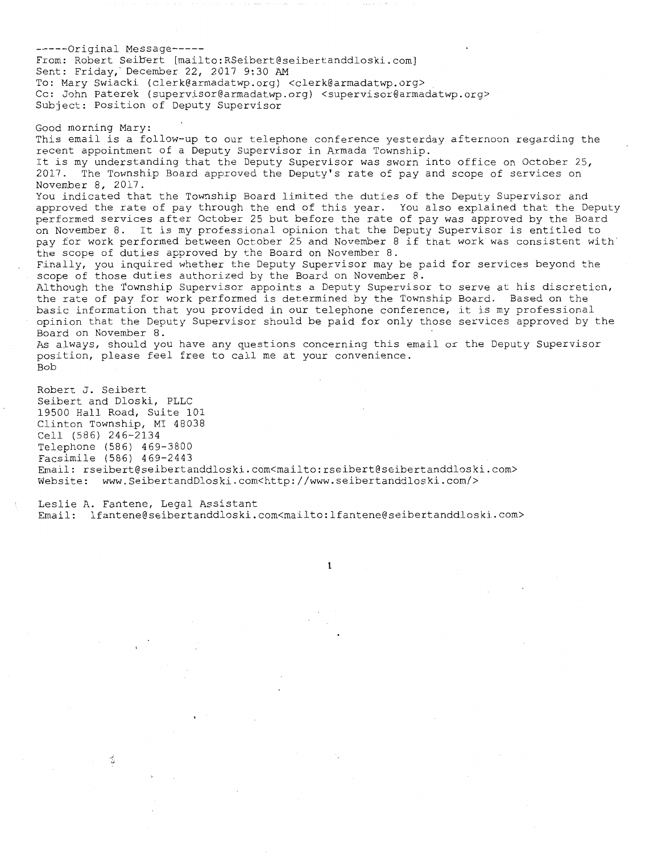-----Original Message----- From: Robert Seibert [mailto:RSeibert@seibertanddloski.com] Sent: Friday, December 22, 2017 9:30 AM To: Mary Swiacki (clerk@armadatwp.org) <clerk@armadatwp.org> Cc: John Paterek (supervisor@armadatwp.org) <supervisor@armadatwp.org> Subject: Position of Deputy Supervisor Good morning Mary: This email is a follow-up to our telephone conference yesterday afternoon regarding the recent appointment of a Deputy Supervisor in Armada Township. It is my understanding that the Deputy Supervisor was sworn into office on October 25, 2017. The Township Board approved the Deputy's rate of pay and scope of services on November 8, 2017. You indicated that the Township Board limited the duties of the Deputy Supervisor and approved the rate of pay through the end of this year. You also explained that the Deputy performed services after October 25 but before the rate of pay was approved by the Board on November 8. It is my professional opinion that the Deputy Supervisor is entitled to pay for work performed between October 25 and November 8 if that work was consistent with the scope of duties approved by the Board on November 8. Finally, you inquired whether the Deputy Supervisor may be paid for services beyond the scope of those duties authorized by the Board on November 8. Although the Township Supervisor appoints a Deputy Supervisor to serve at his discretion, the rate of pay for work performed is determined by the Township Board. Based on the basic information that you provided in our telephone conference, it is my professional opinion that the Deputy Supervisor should be paid for only those services approved by the Board on November 8. As always, should you have any questions concerning this email or the Deputy Supervisor position, please feel free to call me at your convenience. Bob Robert J. Seibert Seibert and Dloski, PLLC 19500 Hall Road, Suite 101

Clinton Township, MI 48038 Cell (586) 246-2134 Telephone (586) 469-3800 Facsimile (586) 469-2443 Email: rseibert@seibertanddloski.com<mailto:rseibert@seibertanddloski.com> Website: www.SeibertandDloski.com<http://www.seibertanddloski.com/>

Leslie A. Fantene, Legal Assistant Email: lfantene@seibertanddloski.com<mailto:lfantene@seibertanddloski.com>

1

舌